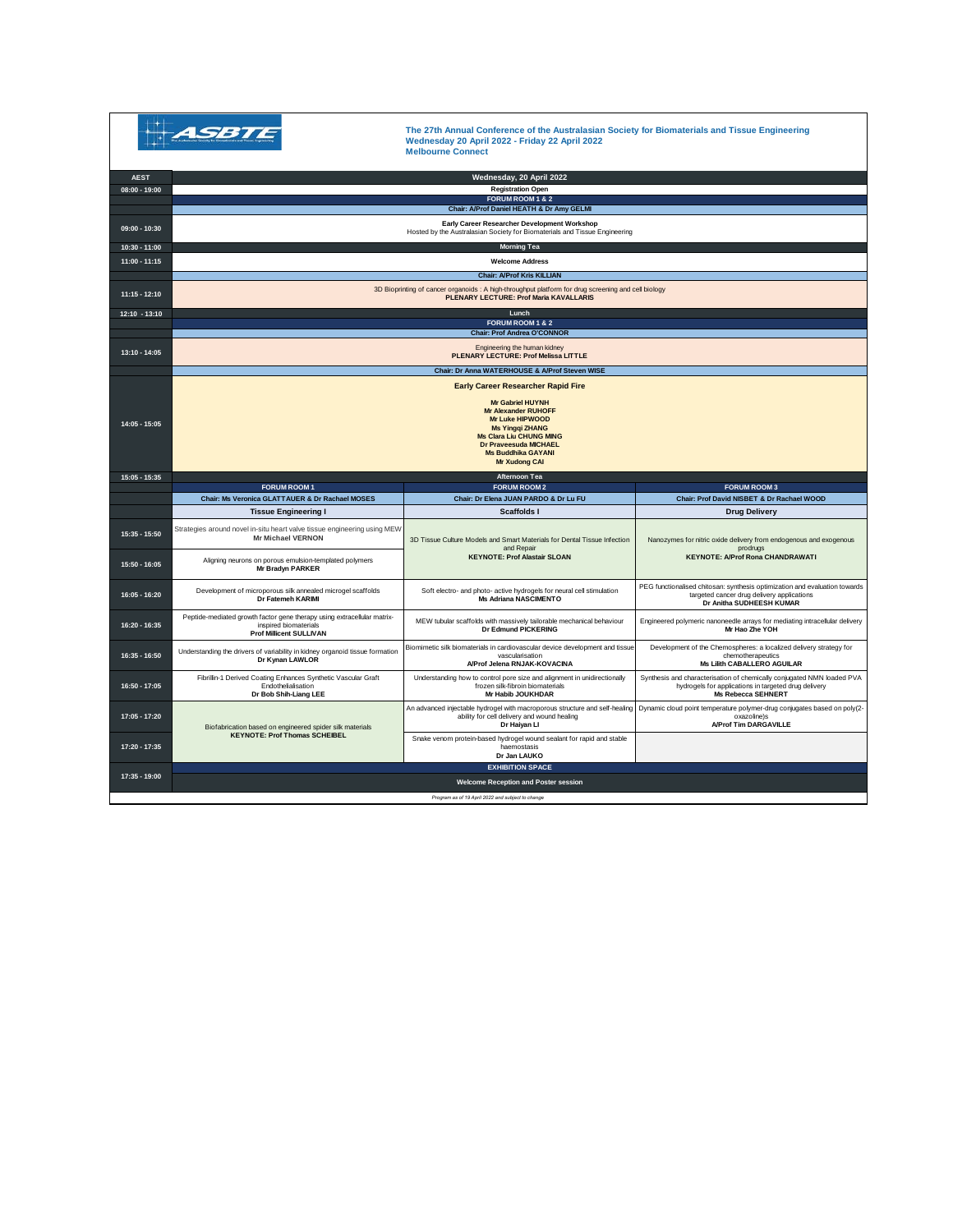| Acceleration faciently for themselveled and Timur Crypnoring |
|--------------------------------------------------------------|
|                                                              |

**The 27th Annual Conference of the Australasian Society for Biomaterials and Tissue Engineering Wednesday 20 April 2022 - Friday 22 April 2022 Melbourne Connect**

| <b>AEST</b>     |                                                                                                                                                                                                                           | Wednesday, 20 April 2022<br><b>Registration Open</b>                                                                                       |                                                                                                                                                             |  |  |
|-----------------|---------------------------------------------------------------------------------------------------------------------------------------------------------------------------------------------------------------------------|--------------------------------------------------------------------------------------------------------------------------------------------|-------------------------------------------------------------------------------------------------------------------------------------------------------------|--|--|
| $08:00 - 19:00$ | FORUM ROOM 1 & 2                                                                                                                                                                                                          |                                                                                                                                            |                                                                                                                                                             |  |  |
|                 | Chair: A/Prof Daniel HEATH & Dr Amy GELMI                                                                                                                                                                                 |                                                                                                                                            |                                                                                                                                                             |  |  |
| $09:00 - 10:30$ | Early Career Researcher Development Workshop<br>Hosted by the Australasian Society for Biomaterials and Tissue Engineering                                                                                                |                                                                                                                                            |                                                                                                                                                             |  |  |
| 10:30 - 11:00   | <b>Morning Tea</b>                                                                                                                                                                                                        |                                                                                                                                            |                                                                                                                                                             |  |  |
| $11:00 - 11:15$ | <b>Welcome Address</b>                                                                                                                                                                                                    |                                                                                                                                            |                                                                                                                                                             |  |  |
|                 | <b>Chair: A/Prof Kris KILLIAN</b>                                                                                                                                                                                         |                                                                                                                                            |                                                                                                                                                             |  |  |
| $11:15 - 12:10$ | 3D Bioprinting of cancer organoids : A high-throughput platform for drug screening and cell biology<br><b>PLENARY LECTURE: Prof Maria KAVALLARIS</b>                                                                      |                                                                                                                                            |                                                                                                                                                             |  |  |
| $12:10 - 13:10$ | Lunch                                                                                                                                                                                                                     |                                                                                                                                            |                                                                                                                                                             |  |  |
|                 | FORUM ROOM 1 & 2<br><b>Chair: Prof Andrea O'CONNOR</b>                                                                                                                                                                    |                                                                                                                                            |                                                                                                                                                             |  |  |
|                 |                                                                                                                                                                                                                           |                                                                                                                                            |                                                                                                                                                             |  |  |
| 13:10 - 14:05   | Engineering the human kidney<br>PLENARY LECTURE: Prof Melissa LITTLE                                                                                                                                                      |                                                                                                                                            |                                                                                                                                                             |  |  |
|                 | <b>Chair: Dr Anna WATERHOUSE &amp; A/Prof Steven WISE</b>                                                                                                                                                                 |                                                                                                                                            |                                                                                                                                                             |  |  |
|                 | <b>Early Career Researcher Rapid Fire</b>                                                                                                                                                                                 |                                                                                                                                            |                                                                                                                                                             |  |  |
| $14:05 - 15:05$ | <b>Mr Gabriel HUYNH</b><br><b>Mr Alexander RUHOFF</b><br><b>Mr Luke HIPWOOD</b><br><b>Ms Yingqi ZHANG</b><br><b>Ms Clara Liu CHUNG MING</b><br>Dr Praveesuda MICHAEL<br><b>Ms Buddhika GAYANI</b><br><b>Mr Xudong CAI</b> |                                                                                                                                            |                                                                                                                                                             |  |  |
| $15:05 - 15:35$ |                                                                                                                                                                                                                           | Afternoon Tea                                                                                                                              |                                                                                                                                                             |  |  |
|                 | <b>FORUM ROOM1</b>                                                                                                                                                                                                        | <b>FORUM ROOM 2</b>                                                                                                                        | <b>FORUM ROOM 3</b>                                                                                                                                         |  |  |
|                 | Chair: Ms Veronica GLATTAUER & Dr Rachael MOSES                                                                                                                                                                           | Chair: Dr Elena JUAN PARDO & Dr Lu FU                                                                                                      | Chair: Prof David NISBET & Dr Rachael WOOD                                                                                                                  |  |  |
|                 |                                                                                                                                                                                                                           |                                                                                                                                            |                                                                                                                                                             |  |  |
|                 | <b>Tissue Engineering I</b>                                                                                                                                                                                               | <b>Scaffolds I</b>                                                                                                                         | <b>Drug Delivery</b>                                                                                                                                        |  |  |
| 15:35 - 15:50   | Strategies around novel in-situ heart valve tissue engineering using MEW<br><b>Mr Michael VERNON</b>                                                                                                                      | 3D Tissue Culture Models and Smart Materials for Dental Tissue Infection                                                                   | Nanozymes for nitric oxide delivery from endogenous and exogenous                                                                                           |  |  |
| $15:50 - 16:05$ | Aligning neurons on porous emulsion-templated polymers<br>Mr Bradyn PARKER                                                                                                                                                | and Repair<br><b>KEYNOTE: Prof Alastair SLOAN</b>                                                                                          | prodrugs<br><b>KEYNOTE: A/Prof Rona CHANDRAWATI</b>                                                                                                         |  |  |
| $16:05 - 16:20$ | Development of microporous silk annealed microgel scaffolds<br>Dr Fatemeh KARIMI                                                                                                                                          | Soft electro- and photo- active hydrogels for neural cell stimulation<br>Ms Adriana NASCIMENTO                                             | PEG functionalised chitosan: synthesis optimization and evaluation towards<br>targeted cancer drug delivery applications<br>Dr Anitha SUDHEESH KUMAR        |  |  |
| 16:20 - 16:35   | Peptide-mediated growth factor gene therapy using extracellular matrix-<br>inspired biomaterials<br><b>Prof Millicent SULLIVAN</b>                                                                                        | MEW tubular scaffolds with massively tailorable mechanical behaviour<br>Dr Edmund PICKERING                                                | Engineered polymeric nanoneedle arrays for mediating intracellular delivery<br>Mr Hao Zhe YOH                                                               |  |  |
| 16:35 - 16:50   | Understanding the drivers of variability in kidney organoid tissue formation<br>Dr Kynan LAWLOR                                                                                                                           | Biomimetic silk biomaterials in cardiovascular device development and tissue<br>vascularisation<br>A/Prof Jelena RNJAK-KOVACINA            | Development of the Chemospheres: a localized delivery strategy for<br>chemotherapeutics<br><b>Ms Lilith CABALLERO AGUILAR</b>                               |  |  |
| 16:50 - 17:05   | Fibrillin-1 Derived Coating Enhances Synthetic Vascular Graft<br>Endothelialisation<br>Dr Bob Shih-Liang LEE                                                                                                              | Understanding how to control pore size and alignment in unidirectionally<br>frozen silk-fibroin biomaterials<br>Mr Habib JOUKHDAR          | Synthesis and characterisation of chemically conjugated NMN loaded PVA<br>hydrogels for applications in targeted drug delivery<br><b>Ms Rebecca SEHNERT</b> |  |  |
| 17:05 - 17:20   | Biofabrication based on engineered spider silk materials                                                                                                                                                                  | An advanced injectable hydrogel with macroporous structure and self-healing<br>ability for cell delivery and wound healing<br>Dr Haiyan Ll | Dynamic cloud point temperature polymer-drug conjugates based on poly(2-<br>oxazoline)s<br><b>A/Prof Tim DARGAVILLE</b>                                     |  |  |
| 17:20 - 17:35   | <b>KEYNOTE: Prof Thomas SCHEIBEL</b>                                                                                                                                                                                      | Snake venom protein-based hydrogel wound sealant for rapid and stable<br>haemostasis<br>Dr Jan LAUKO                                       |                                                                                                                                                             |  |  |
|                 |                                                                                                                                                                                                                           | <b>EXHIBITION SPACE</b>                                                                                                                    |                                                                                                                                                             |  |  |
| 17:35 - 19:00   |                                                                                                                                                                                                                           | Welcome Reception and Poster session                                                                                                       |                                                                                                                                                             |  |  |
|                 |                                                                                                                                                                                                                           | Program as of 19 April 2022 and subject to change                                                                                          |                                                                                                                                                             |  |  |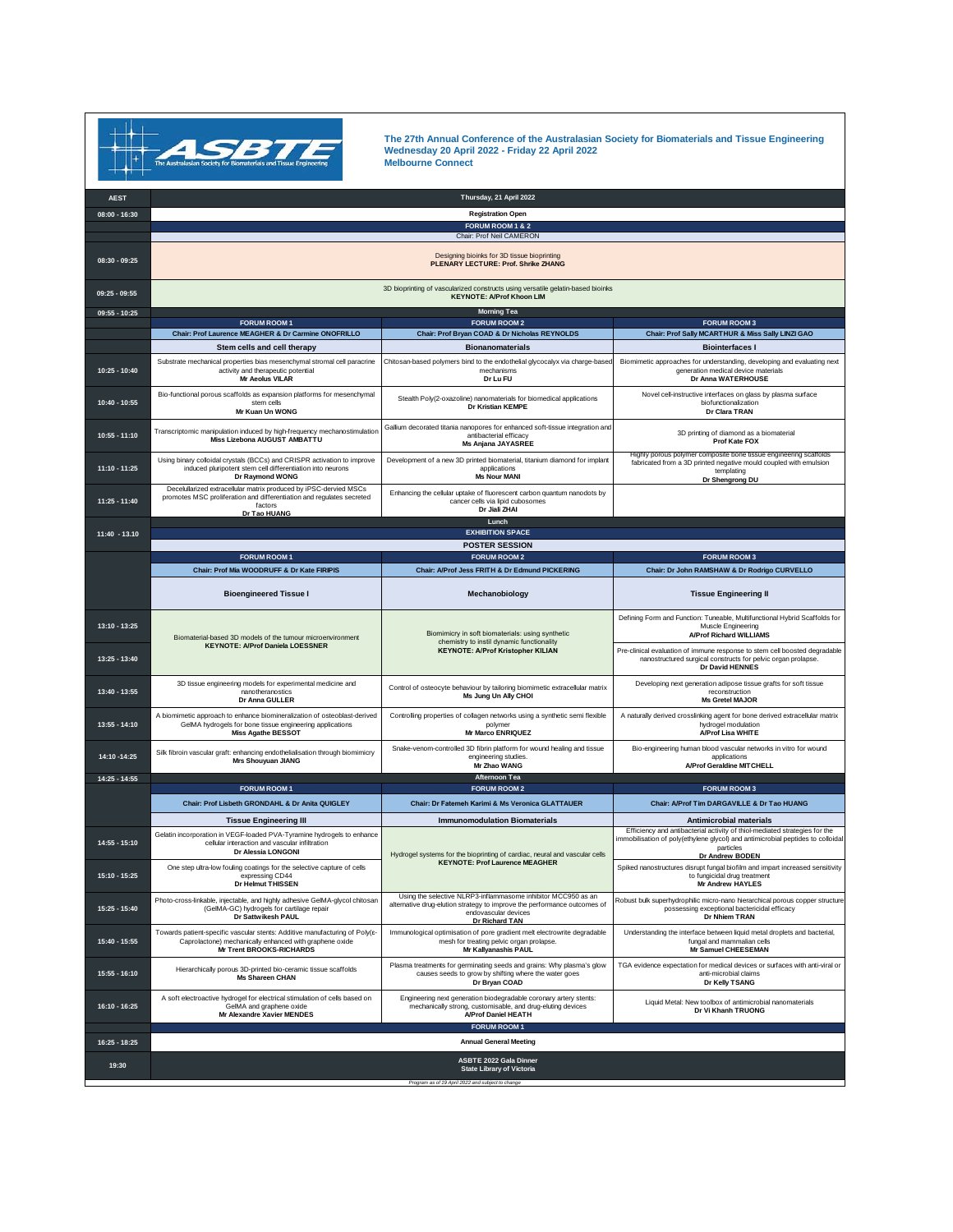

**The 27th Annual Conference of the Australasian Society for Biomaterials and Tissue Engineering Wednesday 20 April 2022 - Friday 22 April 2022 Melbourne Connect**

| <b>AEST</b>     |                                                                                                                                                                                 | Thursday, 21 April 2022                                                                                                                                           |                                                                                                                                                                                                              |  |  |
|-----------------|---------------------------------------------------------------------------------------------------------------------------------------------------------------------------------|-------------------------------------------------------------------------------------------------------------------------------------------------------------------|--------------------------------------------------------------------------------------------------------------------------------------------------------------------------------------------------------------|--|--|
| $08:00 - 16:30$ |                                                                                                                                                                                 | <b>Registration Open</b>                                                                                                                                          |                                                                                                                                                                                                              |  |  |
|                 |                                                                                                                                                                                 | FORUM ROOM 1 & 2<br>Chair: Prof Neil CAMERON                                                                                                                      |                                                                                                                                                                                                              |  |  |
| $08:30 - 09:25$ | Designing bioinks for 3D tissue bioprinting<br>PLENARY LECTURE: Prof. Shrike ZHANG                                                                                              |                                                                                                                                                                   |                                                                                                                                                                                                              |  |  |
| $09:25 - 09:55$ | 3D bioprinting of vascularized constructs using versatile gelatin-based bioinks<br><b>KEYNOTE: A/Prof Khoon LIM</b>                                                             |                                                                                                                                                                   |                                                                                                                                                                                                              |  |  |
| $09:55 - 10:25$ |                                                                                                                                                                                 | <b>Morning Tea</b><br><b>FORUM ROOM 2</b>                                                                                                                         |                                                                                                                                                                                                              |  |  |
|                 | <b>FORUM ROOM 1</b><br>Chair: Prof Laurence MEAGHER & Dr Carmine ONOFRILLO                                                                                                      | Chair: Prof Bryan COAD & Dr Nicholas REYNOLDS                                                                                                                     | <b>FORUM ROOM 3</b><br>Chair: Prof Sally MCARTHUR & Miss Sally LINZI GAO                                                                                                                                     |  |  |
|                 | Stem cells and cell therapy                                                                                                                                                     | <b>Bionanomaterials</b>                                                                                                                                           | <b>Biointerfaces I</b>                                                                                                                                                                                       |  |  |
| 10:25 - 10:40   | Substrate mechanical properties bias mesenchymal stromal cell paracrine<br>activity and therapeutic potential<br><b>Mr Aeolus VILAR</b>                                         | Chitosan-based polymers bind to the endothelial glycocalyx via charge-based<br>mechanisms<br>Dr Lu FU                                                             | Biomimetic approaches for understanding, developing and evaluating next<br>generation medical device materials<br>Dr Anna WATERHOUSE                                                                         |  |  |
| 10:40 - 10:55   | Bio-functional porous scaffolds as expansion platforms for mesenchymal<br>stem cells<br>Mr Kuan IIn WONG                                                                        | Stealth Poly(2-oxazoline) nanomaterials for biomedical applications<br>Dr Kristian KEMPE                                                                          | Novel cell-instructive interfaces on glass by plasma surface<br>biofunctionalization<br>Dr Clara TRAN                                                                                                        |  |  |
| 10:55 - 11:10   | Transcriptomic manipulation induced by high-frequency mechanostimulation<br>Miss Lizebona AUGUST AMBATTU                                                                        | Gallium decorated titania nanopores for enhanced soft-tissue integration and<br>antibacterial efficacy<br>Ms Anjana JAYASREE                                      | 3D printing of diamond as a biomaterial<br>Prof Kate FOX                                                                                                                                                     |  |  |
| $11:10 - 11:25$ | Using binary colloidal crystals (BCCs) and CRISPR activation to improve<br>induced pluripotent stem cell differentiation into neurons<br>Dr Raymond WONG                        | Development of a new 3D printed biomaterial, titanium diamond for implant<br>applications<br><b>Ms Nour MANI</b>                                                  | Highly porous polymer composite bone tissue engineering scaffolds<br>fabricated from a 3D printed negative mould coupled with emulsion<br>templating<br>Dr Shengrong DU                                      |  |  |
| 11:25 - 11:40   | Decelullarized extracellular matrix produced by iPSC-dervied MSCs<br>promotes MSC proliferation and differentiation and regulates secreted<br>factors<br>Dr Tao HUANG           | Enhancing the cellular uptake of fluorescent carbon quantum nanodots by<br>cancer cells via lipid cubosomes<br>Dr Jiali ZHAI                                      |                                                                                                                                                                                                              |  |  |
|                 |                                                                                                                                                                                 | Lunch<br><b>EXHIBITION SPACE</b>                                                                                                                                  |                                                                                                                                                                                                              |  |  |
| $11:40 - 13.10$ |                                                                                                                                                                                 | <b>POSTER SESSION</b>                                                                                                                                             |                                                                                                                                                                                                              |  |  |
|                 | <b>FORUM ROOM 1</b>                                                                                                                                                             | <b>FORUM ROOM 2</b>                                                                                                                                               | <b>FORUM ROOM 3</b>                                                                                                                                                                                          |  |  |
|                 | Chair: Prof Mia WOODRUFF & Dr Kate FIRIPIS                                                                                                                                      | Chair: A/Prof Jess FRITH & Dr Edmund PICKERING                                                                                                                    | Chair: Dr John RAMSHAW & Dr Rodrigo CURVELLO                                                                                                                                                                 |  |  |
|                 | <b>Bioengineered Tissue I</b>                                                                                                                                                   | Mechanobiology                                                                                                                                                    | <b>Tissue Engineering II</b>                                                                                                                                                                                 |  |  |
| 13:10 - 13:25   | Biomaterial-based 3D models of the tumour microenvironment<br><b>KEYNOTE: A/Prof Daniela LOESSNER</b>                                                                           | Biomimicry in soft biomaterials: using synthetic<br>chemistry to instil dynamic functionality<br><b>KEYNOTE: A/Prof Kristopher KILIAN</b>                         | Defining Form and Function: Tuneable, Multifunctional Hybrid Scaffolds for<br>Muscle Engineering<br>A/Prof Richard WILLIAMS                                                                                  |  |  |
| 13:25 - 13:40   |                                                                                                                                                                                 |                                                                                                                                                                   | Pre-clinical evaluation of immune response to stem cell boosted degradable<br>nanostructured surgical constructs for pelvic organ prolapse.<br>Dr David HENNES                                               |  |  |
| 13:40 - 13:55   | 3D tissue engineering models for experimental medicine and<br>nanotheranostics<br>Dr Anna GULLER                                                                                | Control of osteocyte behaviour by tailoring biomimetic extracellular matrix<br>Ms Jung Un Ally CHOI                                                               | Developing next generation adipose tissue grafts for soft tissue<br>reconstruction<br><b>Ms Gretel MAJOR</b>                                                                                                 |  |  |
| 13:55 - 14:10   | A biomimetic approach to enhance biomineralization of osteoblast-derived<br>GeIMA hydrogels for bone tissue engineering applications<br><b>Miss Agathe BESSOT</b>               | Controlling properties of collagen networks using a synthetic semi flexible<br>polymer<br><b>Mr Marco ENRIQUEZ</b>                                                | A naturally derived crosslinking agent for bone derived extracellular matrix<br>hydrogel modulation<br>A/Prof Lisa WHITE                                                                                     |  |  |
| 14:10 -14:25    | Silk fibroin vascular graft: enhancing endothelialisation through biomimicry<br>Mrs Shouyuan JIANG                                                                              | Snake-venom-controlled 3D fibrin platform for wound healing and tissue<br>engineering studies.<br>Mr Zhao WANG                                                    | Bio-engineering human blood vascular networks in vitro for wound<br>applications<br>A/Prof Geraldine MITCHELL                                                                                                |  |  |
| 14:25 - 14:55   |                                                                                                                                                                                 | Afternoon Tea                                                                                                                                                     |                                                                                                                                                                                                              |  |  |
|                 | <b>FORUM ROOM 1</b><br>Chair: Prof Lisbeth GRONDAHL & Dr Anita QUIGLEY                                                                                                          | <b>FORUM ROOM 2</b><br>Chair: Dr Fatemeh Karimi & Ms Veronica GLATTAUER                                                                                           | <b>FORUM ROOM 3</b><br>Chair: A/Prof Tim DARGAVILLE & Dr Tao HUANG                                                                                                                                           |  |  |
|                 |                                                                                                                                                                                 |                                                                                                                                                                   |                                                                                                                                                                                                              |  |  |
| 14:55 - 15:10   | <b>Tissue Engineering III</b><br>Gelatin incorporation in VEGF-loaded PVA-Tyramine hydrogels to enhance<br>cellular interaction and vascular infiltration<br>Dr Alessia LONGONI | <b>Immunomodulation Biomaterials</b>                                                                                                                              | <b>Antimicrobial materials</b><br>Efficiency and antibacterial activity of thiol-mediated strategies for the<br>immobilisation of poly(ethylene glycol) and antimicrobial peptides to colloidal<br>particles |  |  |
| 15:10 - 15:25   | One step ultra-low fouling coatings for the selective capture of cells<br>expressing CD44<br>Dr Helmut THISSEN                                                                  | Hydrogel systems for the bioprinting of cardiac, neural and vascular cells<br><b>KEYNOTE: Prof Laurence MEAGHER</b>                                               | Dr Andrew BODEN<br>Spiked nanostructures disrupt fungal biofilm and impart increased sensitivity<br>to fungicidal drug treatment<br><b>Mr Andrew HAYLES</b>                                                  |  |  |
| 15:25 - 15:40   | Photo-cross-linkable, injectable, and highly adhesive GeIMA-glycol chitosan<br>(GeIMA-GC) hydrogels for cartilage repair<br>Dr Sattwikesh PAUL                                  | Using the selective NLRP3-inflammasome inhibitor MCC950 as an<br>alternative drug-elution strategy to improve the performance outcomes of<br>endovascular devices | Robust bulk superhydrophilic micro-nano hierarchical porous copper structure<br>possessing exceptional bactericidal efficacy<br>Dr Nhiem TRAN                                                                |  |  |
| 15:40 - 15:55   | Towards patient-specific vascular stents: Additive manufacturing of Poly(8-<br>Caprolactone) mechanically enhanced with graphene oxide<br>Mr Trent BROOKS-RICHARDS              | Dr Richard TAN<br>Immunological optimisation of pore gradient melt electrowrite degradable<br>mesh for treating pelvic organ prolapse.<br>Mr Kallyanashis PAUL    | Understanding the interface between liquid metal droplets and bacterial,<br>fungal and mammalian cells<br>Mr Samuel CHEESEMAN                                                                                |  |  |
| 15:55 - 16:10   | Hierarchically porous 3D-printed bio-ceramic tissue scaffolds<br><b>Ms Shareen CHAN</b>                                                                                         | Plasma treatments for germinating seeds and grains: Why plasma's glow<br>causes seeds to grow by shifting where the water goes<br>Dr Bryan COAD                   | TGA evidence expectation for medical devices or surfaces with anti-viral or<br>anti-microbial claims<br>Dr Kelly TSANG                                                                                       |  |  |
| 16:10 - 16:25   | A soft electroactive hydrogel for electrical stimulation of cells based on<br>GeIMA and graphene oxide<br>Mr Alexandre Xavier MENDES                                            | Engineering next generation biodegradable coronary artery stents:<br>mechanically strong, customisable, and drug-eluting devices<br>A/Prof Daniel HEATH           | Liquid Metal: New toolbox of antimicrobial nanomaterials<br>Dr Vi Khanh TRUONG                                                                                                                               |  |  |
|                 | <b>FORUM ROOM 1</b>                                                                                                                                                             |                                                                                                                                                                   |                                                                                                                                                                                                              |  |  |
| 16:25 - 18:25   | <b>Annual General Meeting</b>                                                                                                                                                   |                                                                                                                                                                   |                                                                                                                                                                                                              |  |  |
| 19:30           |                                                                                                                                                                                 | <b>ASBTE 2022 Gala Dinner</b><br><b>State Library of Victoria</b><br>Program as of 19 April 2022 and subject to change                                            |                                                                                                                                                                                                              |  |  |